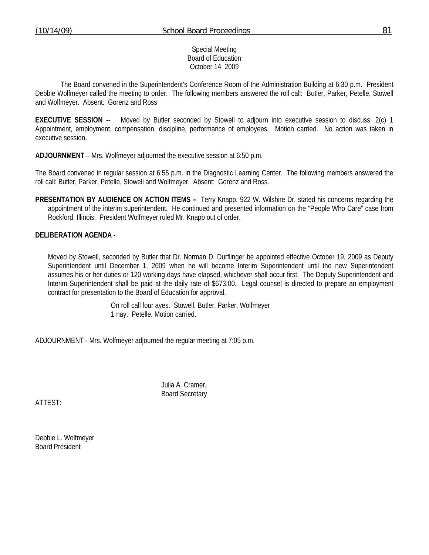## Special Meeting Board of Education October 14, 2009

 The Board convened in the Superintendent's Conference Room of the Administration Building at 6:30 p.m. President Debbie Wolfmeyer called the meeting to order. The following members answered the roll call: Butler, Parker, Petelle, Stowell and Wolfmeyer. Absent: Gorenz and Ross

**EXECUTIVE SESSION** -- Moved by Butler seconded by Stowell to adjourn into executive session to discuss: 2(c) 1 Appointment, employment, compensation, discipline, performance of employees. Motion carried. No action was taken in executive session.

**ADJOURNMENT** – Mrs. Wolfmeyer adjourned the executive session at 6:50 p.m.

The Board convened in regular session at 6:55 p.m. in the Diagnostic Learning Center. The following members answered the roll call: Butler, Parker, Petelle, Stowell and Wolfmeyer. Absent: Gorenz and Ross.

**PRESENTATION BY AUDIENCE ON ACTION ITEMS –** Terry Knapp, 922 W. Wilshire Dr. stated his concerns regarding the appointment of the interim superintendent. He continued and presented information on the "People Who Care" case from Rockford, Illinois. President Wolfmeyer ruled Mr. Knapp out of order.

## **DELIBERATION AGENDA** -

Moved by Stowell, seconded by Butler that Dr. Norman D. Durflinger be appointed effective October 19, 2009 as Deputy Superintendent until December 1, 2009 when he will become Interim Superintendent until the new Superintendent assumes his or her duties or 120 working days have elapsed, whichever shall occur first. The Deputy Superintendent and Interim Superintendent shall be paid at the daily rate of \$673.00. Legal counsel is directed to prepare an employment contract for presentation to the Board of Education for approval.

> On roll call four ayes. Stowell, Butler, Parker, Wolfmeyer 1 nay. Petelle. Motion carried.

ADJOURNMENT - Mrs. Wolfmeyer adjourned the regular meeting at 7:05 p.m.

 Julia A. Cramer, Board Secretary

ATTEST:

Debbie L. Wolfmeyer Board President